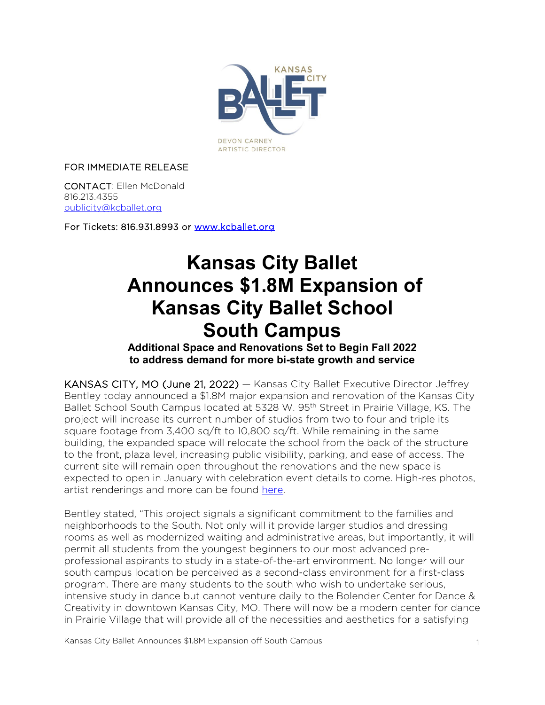

#### FOR IMMEDIATE RELEASE

CONTACT: Ellen McDonald 816.213.4355 [publicity@kcballet.org](mailto:publicity@kcballet.org)

For Tickets: 816.931.8993 or [www.kcballet.org](http://www.kcballet.org/) 

# **Kansas City Ballet Announces \$1.8M Expansion of Kansas City Ballet School South Campus**<br>Additional Space and Renovations Set to Begin Fall 2022

## **to address demand for more bi-state growth and service**

KANSAS CITY, MO (June 21, 2022) — Kansas City Ballet Executive Director Jeffrey Bentley today announced a \$1.8M major expansion and renovation of the Kansas City Ballet School South Campus located at 5328 W. 95th Street in Prairie Village, KS. The project will increase its current number of studios from two to four and triple its square footage from 3,400 sq/ft to 10,800 sq/ft. While remaining in the same building, the expanded space will relocate the school from the back of the structure to the front, plaza level, increasing public visibility, parking, and ease of access. The current site will remain open throughout the renovations and the new space is expected to open in January with celebration event details to come. High-res photos, artist renderings and more can be found [here.](https://www.flickr.com/photos/67555847@N06/albums/72177720299002404)

Bentley stated, "This project signals a significant commitment to the families and neighborhoods to the South. Not only will it provide larger studios and dressing rooms as well as modernized waiting and administrative areas, but importantly, it will permit all students from the youngest beginners to our most advanced preprofessional aspirants to study in a state-of-the-art environment. No longer will our south campus location be perceived as a second-class environment for a first-class program. There are many students to the south who wish to undertake serious, intensive study in dance but cannot venture daily to the Bolender Center for Dance & Creativity in downtown Kansas City, MO. There will now be a modern center for dance in Prairie Village that will provide all of the necessities and aesthetics for a satisfying

Kansas City Ballet Announces \$1.8M Expansion off South Campus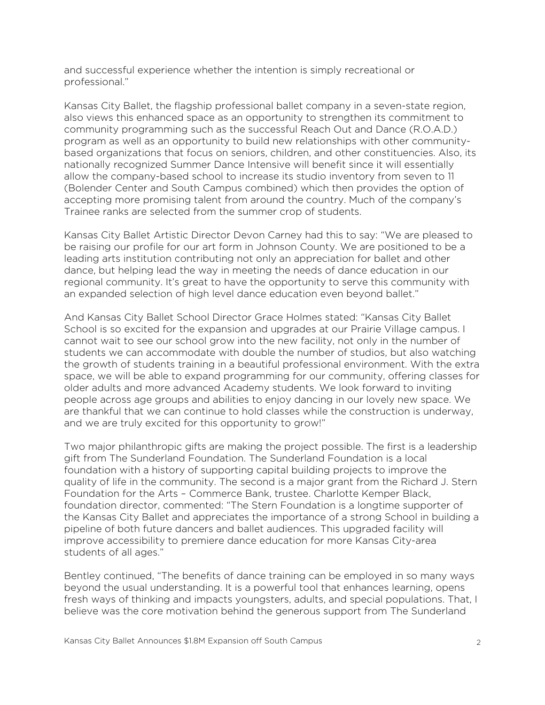and successful experience whether the intention is simply recreational or professional."

Kansas City Ballet, the flagship professional ballet company in a seven-state region, also views this enhanced space as an opportunity to strengthen its commitment to community programming such as the successful Reach Out and Dance (R.O.A.D.) program as well as an opportunity to build new relationships with other communitybased organizations that focus on seniors, children, and other constituencies. Also, its nationally recognized Summer Dance Intensive will benefit since it will essentially allow the company-based school to increase its studio inventory from seven to 11 (Bolender Center and South Campus combined) which then provides the option of accepting more promising talent from around the country. Much of the company's Trainee ranks are selected from the summer crop of students.

Kansas City Ballet Artistic Director Devon Carney had this to say: "We are pleased to be raising our profile for our art form in Johnson County. We are positioned to be a leading arts institution contributing not only an appreciation for ballet and other dance, but helping lead the way in meeting the needs of dance education in our regional community. It's great to have the opportunity to serve this community with an expanded selection of high level dance education even beyond ballet."

And Kansas City Ballet School Director Grace Holmes stated: "Kansas City Ballet School is so excited for the expansion and upgrades at our Prairie Village campus. I cannot wait to see our school grow into the new facility, not only in the number of students we can accommodate with double the number of studios, but also watching the growth of students training in a beautiful professional environment. With the extra space, we will be able to expand programming for our community, offering classes for older adults and more advanced Academy students. We look forward to inviting people across age groups and abilities to enjoy dancing in our lovely new space. We are thankful that we can continue to hold classes while the construction is underway, and we are truly excited for this opportunity to grow!"

Two major philanthropic gifts are making the project possible. The first is a leadership gift from The Sunderland Foundation. The Sunderland Foundation is a local foundation with a history of supporting capital building projects to improve the quality of life in the community. The second is a major grant from the Richard J. Stern Foundation for the Arts – Commerce Bank, trustee. Charlotte Kemper Black, foundation director, commented: "The Stern Foundation is a longtime supporter of the Kansas City Ballet and appreciates the importance of a strong School in building a pipeline of both future dancers and ballet audiences. This upgraded facility will improve accessibility to premiere dance education for more Kansas City-area students of all ages."

Bentley continued, "The benefits of dance training can be employed in so many ways beyond the usual understanding. It is a powerful tool that enhances learning, opens fresh ways of thinking and impacts youngsters, adults, and special populations. That, I believe was the core motivation behind the generous support from The Sunderland